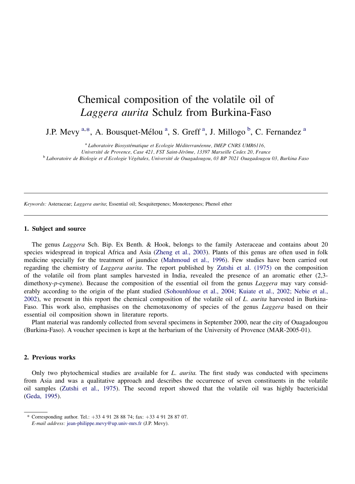# Chemical composition of the volatile oil of Laggera aurita Schulz from Burkina-Faso

J.P. Mevy <sup>a,\*</sup>, A. Bousquet-Mélou<sup>a</sup>, S. Greff<sup>a</sup>, J. Millogo<sup>b</sup>, C. Fernandez<sup>a</sup>

<sup>a</sup> Laboratoire Biosystématique et Ecologie Méditerranéenne, IMEP CNRS UMR6116,

Université de Provence, Case 421, FST Saint-Jérôme, 13397 Marseille Cedex 20, France<br><sup>b</sup> Laboratoire de Biologie et d'Ecologie Végétales, Université de Ouagadougou, 03 BP 7021 Ouagadougou 03, Burkina Faso

Keywords: Asteraceae; Laggera aurita; Essential oil; Sesquiterpenes; Monoterpenes; Phenol ether

#### 1. Subject and source

The genus Laggera Sch. Bip. Ex Benth. & Hook, belongs to the family Asteraceae and contains about 20 species widespread in tropical Africa and Asia [\(Zheng et al., 2003](#page-3-0)). Plants of this genus are often used in folk medicine specially for the treatment of jaundice [\(Mahmoud et al., 1996](#page-3-0)). Few studies have been carried out regarding the chemistry of Laggera aurita. The report published by [Zutshi et al. \(1975\)](#page-3-0) on the composition of the volatile oil from plant samples harvested in India, revealed the presence of an aromatic ether (2,3 dimethoxy-p-cymene). Because the composition of the essential oil from the genus *Laggera* may vary considerably according to the origin of the plant studied ([Sohounhloue et al., 2004; Kuiate et al., 2002; Nebie et al.,](#page-3-0) [2002\)](#page-3-0), we present in this report the chemical composition of the volatile oil of  $L$ . *aurita* harvested in Burkina-Faso. This work also, emphasises on the chemotaxonomy of species of the genus *Laggera* based on their essential oil composition shown in literature reports.

Plant material was randomly collected from several specimens in September 2000, near the city of Ouagadougou (Burkina-Faso). A voucher specimen is kept at the herbarium of the University of Provence (MAR-2005-01).

## 2. Previous works

Only two phytochemical studies are available for L. *aurita*. The first study was conducted with specimens from Asia and was a qualitative approach and describes the occurrence of seven constituents in the volatile oil samples ([Zutshi et al., 1975](#page-3-0)). The second report showed that the volatile oil was highly bactericidal [\(Geda, 1995](#page-3-0)).

<sup>\*</sup> Corresponding author. Tel.:  $+33$  4 91 28 88 74; fax:  $+33$  4 91 28 87 07.

E-mail address: [jean-philippe.mevy@up.univ-mrs.fr](mailto:jean-philippe.mevy@up.univ-mrs.fr) (J.P. Mevy).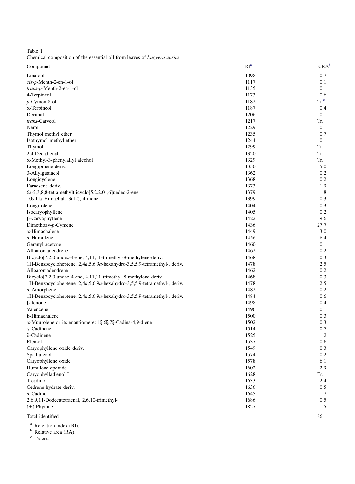<span id="page-1-0"></span>Table 1

Chemical composition of the essential oil from leaves of Laggera aurita

| Compound                                                                            | RI <sup>a</sup> | %RA <sup>b</sup> |
|-------------------------------------------------------------------------------------|-----------------|------------------|
| Linalool                                                                            | 1098            | 0.7              |
| cis-p-Menth-2-en-1-ol                                                               | 1117            | 0.1              |
| trans-p-Menth-2-en-1-ol                                                             | 1135            | 0.1              |
| 4-Terpineol                                                                         | 1173            | 0.6              |
| $p$ -Cymen-8-ol                                                                     | 1182            | Tr. <sup>c</sup> |
| $\alpha$ -Terpineol                                                                 | 1187            | 0.4              |
| Decanal                                                                             | 1206            | 0.1              |
| trans-Carveol                                                                       | 1217            | Tr.              |
| Nerol                                                                               | 1229            | 0.1              |
| Thymol methyl ether                                                                 | 1235            | 0.7              |
| Isothymol methyl ether                                                              | 1244            | 0.1              |
| Thymol                                                                              | 1299            | Tr.              |
| 2,4-Decadienal                                                                      | 1320            | Tr.              |
| α-Methyl-3-phenylallyl alcohol                                                      | 1329            | Tr.              |
| Longipinene deriv.                                                                  | 1350            | 5.0              |
| 3-Allylguaiacol                                                                     | 1362            | 0.2              |
| Longicyclene                                                                        | 1368            | 0.2              |
| Farnesene deriv.                                                                    | 1373            | 1.9              |
| 6s-2,3,8,8-tetramethyltricyclo[5.2.2.01,6]undec-2-ene                               | 1379            | 1.8              |
| $10s$ , 11s-Himachala-3(12), 4-diene                                                | 1399            | 0.3              |
| Longifolene                                                                         | 1404            | 0.3              |
| Isocaryophyllene                                                                    | 1405            | 0.2              |
| $\beta$ -Caryophyllene                                                              | 1422            | 9.6              |
| Dimethoxy- $p$ -Cymene                                                              | 1436            | 27.7             |
| α-Himachalene                                                                       | 1449            | 3.0              |
| $\alpha$ -Humulene                                                                  | 1456            | 6.4              |
| Geranyl acetone                                                                     | 1460            | 0.1              |
| Alloaromadendrene                                                                   | 1462            | 0.2              |
| Bicyclo[7.2.0]undec-4-ene, 4,11,11-trimethyl-8-methylene-deriv.                     | 1468            | 0.3              |
| 1H-Benzocycloheptene, 2,4a,5,6,9a-hexahydro-3,5,5,9-tetramethyl-, deriv.            | 1478            | 2.5              |
| Alloaromadendrene                                                                   | 1462            | 0.2              |
| Bicyclo[7.2.0]undec-4-ene, 4,11,11-trimethyl-8-methylene-deriv.                     | 1468            | 0.3              |
| 1H-Benzocycloheptene, 2,4a,5,6,9a-hexahydro-3,5,5,9-tetramethyl-, deriv.            | 1478            | 2.5              |
| $\alpha$ -Amorphene                                                                 | 1482            | 0.2              |
| 1H-Benzocycloheptene, 2,4a,5,6,9a-hexahydro-3,5,5,9-tetramethyl-, deriv.            | 1484            | 0.6              |
| $\beta$ -Ionone                                                                     | 1498            | 0.4              |
| Valencene                                                                           | 1496            | 0.1              |
| β-Himachalene                                                                       | 1500            | 0.3              |
| $\alpha$ -Muurolene or its enantiomere: 1 $\xi$ ,6 $\xi$ ,7 $\xi$ -Cadina-4,9-diene | 1502            | 0.3              |
| $\gamma$ -Cadinene                                                                  | 1514            | 0.7              |
| δ-Cadinene                                                                          | 1525            | 1.2              |
| Elemol                                                                              | 1537            | 0.6              |
| Caryophyllene oxide deriv.                                                          | 1549            | 0.3              |
| Spathulenol                                                                         | 15/4            | $0.2\,$          |
| Caryophyllene oxide                                                                 | 1578            | 6.1              |
| Humulene epoxide                                                                    | 1602            | 2.9              |
| Caryophylladienol I                                                                 | 1628            | Tr.              |
| T-cadinol                                                                           | 1633            | 2.4              |
| Cedrene hydrate deriv.                                                              | 1636            | 0.5              |
| α-Cadinol                                                                           | 1645            | 1.7              |
| 2,6,9,11-Dodecatetraenal, 2,6,10-trimethyl-                                         | 1686            | 0.5              |
| $(\pm)$ -Phytone                                                                    | 1827            | 1.5              |
| Total identified                                                                    |                 | 86.1             |

<sup>a</sup> Retention index (RI).<br><sup>b</sup> Relative area (RA).

<sup>c</sup> Traces.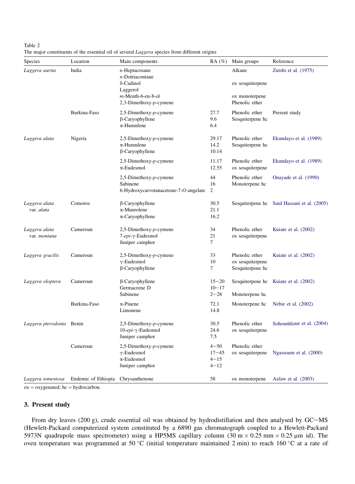<span id="page-2-0"></span>Table 2 The major constituents of the essential oil of several Laggera species from different origins

| <b>Species</b>                | Location                           | Main components                                                                                                      | $RA(\%)$                                      | Main groups                                                    | Reference                                   |
|-------------------------------|------------------------------------|----------------------------------------------------------------------------------------------------------------------|-----------------------------------------------|----------------------------------------------------------------|---------------------------------------------|
| Laggera aurita                | India                              | $n$ -Heptacosane<br>$n$ -Dotriacontane<br>δ-Cadinol<br>Laggerol<br>$m$ -Menth-6-en-8-ol<br>$2,3$ -Dimethoxy-p-cymene |                                               | Alkane<br>ox sesquiterpene<br>ox monoterpene<br>Phenolic ether | Zutshi et al. (1975)                        |
|                               | Burkina-Faso                       | $2,5$ -Dimethoxy-p-cymene<br>$\beta$ -Caryophyllene<br>$\alpha$ -Humulene                                            | 27.7<br>9.6<br>6.4                            | Phenolic ether<br>Sesquiterpene hc                             | Present study                               |
| Laggera alata                 | Nigeria                            | $2,5$ -Dimethoxy-p-cymene<br>α-Humulene<br>$\beta$ -Caryophyllene                                                    | 29.17<br>14.2<br>10.14                        | Phenolic ether<br>Sesquiterpene hc                             | Ekundayo et al. (1989)                      |
|                               |                                    | $2,5$ -Dimethoxy- $p$ -cymene<br>$\alpha$ -Eudesmol                                                                  | 11.17<br>12.55                                | Phenolic ether<br>ox sesquiterpene                             | Ekundayo et al. (1989)                      |
|                               |                                    | $2,5$ -Dimethoxy- $p$ -cymene<br>Sabinene<br>6-Hydroxycarvotanacetone-7-O-angelate                                   | 44<br>16<br>2                                 | Phenolic ether<br>Monoterpene hc                               | Onayade et al. (1990)                       |
| Laggera alata<br>var. alata   | Comoros                            | $\beta$ -Caryophyllene<br>$\alpha$ -Muurolene<br>$\alpha$ -Caryophyllene                                             | 30.5<br>21.1<br>16.2                          |                                                                | Sesquiterpene hc Said Hassani et al. (2005) |
| Laggera alata<br>var. montana | Cameroun                           | $2,5$ -Dimethoxy-p-cymene<br>$7$ -epi- $\gamma$ -Eudesmol<br>Juniper camphor                                         | 34<br>21<br>7                                 | Phenolic ether<br>ox sesquiterpene                             | Kuiate et al. (2002)                        |
| Laggera gracilis              | Cameroun                           | $2,5$ -Dimethoxy-p-cymene<br>$\gamma$ -Eudesmol<br>$\beta$ -Caryophyllene                                            | 33<br>10<br>$\tau$                            | Phenolic ether<br>ox sesquiterpene<br>Sesquiterpene hc         | Kuiate et al. (2002)                        |
| Laggera oloptera              | Cameroun                           | $\beta$ -Caryophyllene<br>Germacrene D<br>Sabinene                                                                   | $15 - 20$<br>$10 - 17$<br>$2 - 28$            | Monoterpene hc                                                 | Sesquiterpene hc Kuiate et al. (2002)       |
|                               | Burkina-Faso                       | $\alpha$ -Pinene<br>Limonene                                                                                         | 72.1<br>14.8                                  | Monoterpene hc                                                 | Nebie et al. (2002)                         |
| Laggera pterodonta Benin      |                                    | $2,5$ -Dimethoxy-p-cymene<br>$10$ -epi- $\gamma$ -Eudesmol<br>Juniper camphor                                        | 30.5<br>24.6<br>7.5                           | Phenolic ether<br>ox sesquiterpene                             | Sohounhloue et al. (2004)                   |
|                               | Cameroun                           | $2,5$ -Dimethoxy-p-cymene<br>$\gamma$ -Eudesmol<br>$\alpha$ -Eudesmol<br>Juniper camphor                             | $4 - 50$<br>$17 - 45$<br>$4 - 15$<br>$4 - 12$ | Phenolic ether<br>ox sesquiterpene                             | Ngassoum et al. (2000)                      |
| Laggera tomentosa             | Endemic of Ethiopia Chrysanthenone |                                                                                                                      | 58                                            | ox monoterpene                                                 | Asfaw et al. (2003)                         |

 $ox = oxygenated$ ; hc = hydrocarbon.

### 3. Present study

From dry leaves (200 g), crude essential oil was obtained by hydrodistillation and then analysed by GC-MS (Hewlett-Packard computerized system constituted by a 6890 gas chromatograph coupled to a Hewlett-Packard 5973N quadrupole mass spectrometer) using a HP5MS capillary column  $(30 \text{ m} \times 0.25 \text{ mm} \times 0.25 \text{ µm}$  id). The oven temperature was programmed at 50 °C (initial temperature maintained 2 min) to reach 160 °C at a rate of